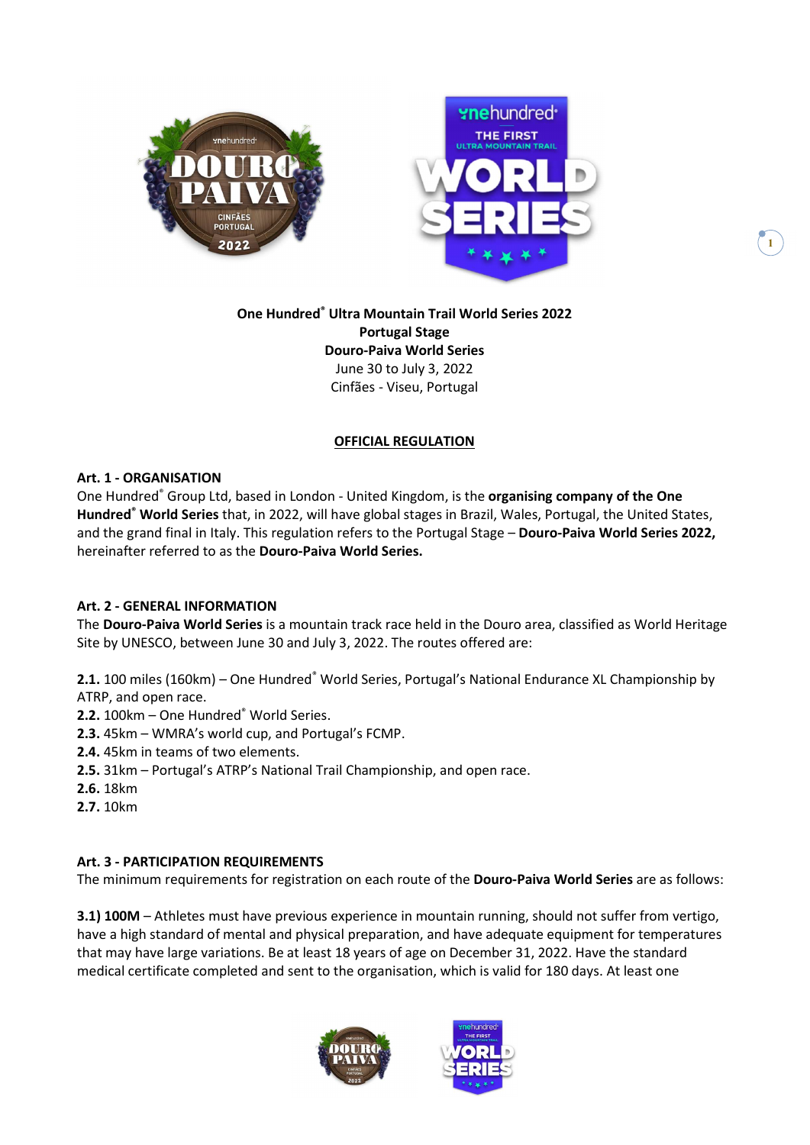



## One Hundred® Ultra Mountain Trail World Series 2022 Portugal Stage Douro-Paiva World Series June 30 to July 3, 2022 Cinfães - Viseu, Portugal

### OFFICIAL REGULATION

### Art. 1 - ORGANISATION

One Hundred<sup>®</sup> Group Ltd, based in London - United Kingdom, is the organising company of the One Hundred<sup>®</sup> World Series that, in 2022, will have global stages in Brazil, Wales, Portugal, the United States, and the grand final in Italy. This regulation refers to the Portugal Stage - Douro-Paiva World Series 2022, hereinafter referred to as the Douro-Paiva World Series.

### Art. 2 - GENERAL INFORMATION

The Douro-Paiva World Series is a mountain track race held in the Douro area, classified as World Heritage Site by UNESCO, between June 30 and July 3, 2022. The routes offered are:

2.1. 100 miles (160km) - One Hundred® World Series, Portugal's National Endurance XL Championship by ATRP, and open race.

- 2.2. 100km One Hundred® World Series.
- 2.3. 45km WMRA's world cup, and Portugal's FCMP.
- 2.4. 45km in teams of two elements.
- 2.5. 31km Portugal's ATRP's National Trail Championship, and open race.
- 2.6. 18km
- 2.7. 10km

#### Art. 3 - PARTICIPATION REQUIREMENTS

The minimum requirements for registration on each route of the Douro-Paiva World Series are as follows:

3.1) 100M – Athletes must have previous experience in mountain running, should not suffer from vertigo, have a high standard of mental and physical preparation, and have adequate equipment for temperatures that may have large variations. Be at least 18 years of age on December 31, 2022. Have the standard medical certificate completed and sent to the organisation, which is valid for 180 days. At least one



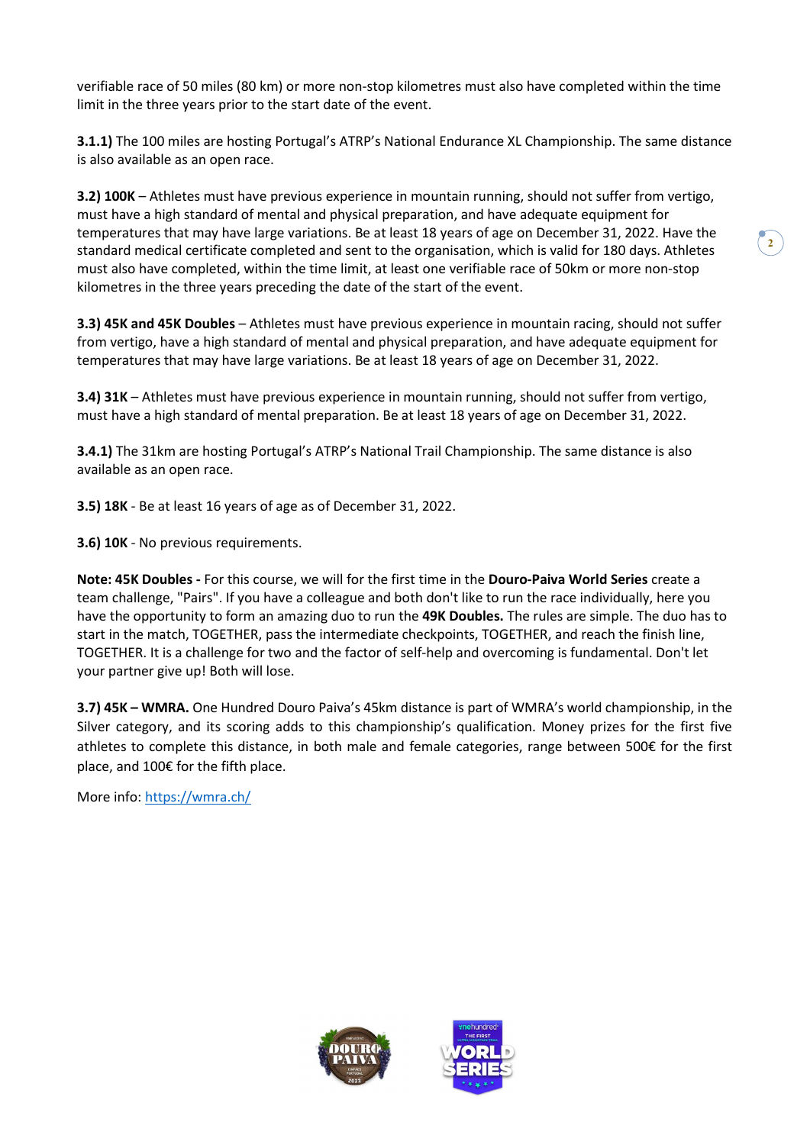verifiable race of 50 miles (80 km) or more non-stop kilometres must also have completed within the time limit in the three years prior to the start date of the event.

3.1.1) The 100 miles are hosting Portugal's ATRP's National Endurance XL Championship. The same distance is also available as an open race.

3.2) 100K – Athletes must have previous experience in mountain running, should not suffer from vertigo, must have a high standard of mental and physical preparation, and have adequate equipment for temperatures that may have large variations. Be at least 18 years of age on December 31, 2022. Have the standard medical certificate completed and sent to the organisation, which is valid for 180 days. Athletes must also have completed, within the time limit, at least one verifiable race of 50km or more non-stop kilometres in the three years preceding the date of the start of the event.

3.3) 45K and 45K Doubles – Athletes must have previous experience in mountain racing, should not suffer from vertigo, have a high standard of mental and physical preparation, and have adequate equipment for temperatures that may have large variations. Be at least 18 years of age on December 31, 2022.

3.4) 31K – Athletes must have previous experience in mountain running, should not suffer from vertigo, must have a high standard of mental preparation. Be at least 18 years of age on December 31, 2022.

3.4.1) The 31km are hosting Portugal's ATRP's National Trail Championship. The same distance is also available as an open race.

3.5) 18K - Be at least 16 years of age as of December 31, 2022.

3.6) 10K - No previous requirements.

Note: 45K Doubles - For this course, we will for the first time in the Douro-Paiva World Series create a team challenge, "Pairs". If you have a colleague and both don't like to run the race individually, here you have the opportunity to form an amazing duo to run the 49K Doubles. The rules are simple. The duo has to start in the match, TOGETHER, pass the intermediate checkpoints, TOGETHER, and reach the finish line, TOGETHER. It is a challenge for two and the factor of self-help and overcoming is fundamental. Don't let your partner give up! Both will lose.

3.7) 45K – WMRA. One Hundred Douro Paiva's 45km distance is part of WMRA's world championship, in the Silver category, and its scoring adds to this championship's qualification. Money prizes for the first five athletes to complete this distance, in both male and female categories, range between 500€ for the first place, and 100€ for the fifth place.

More info: https://wmra.ch/



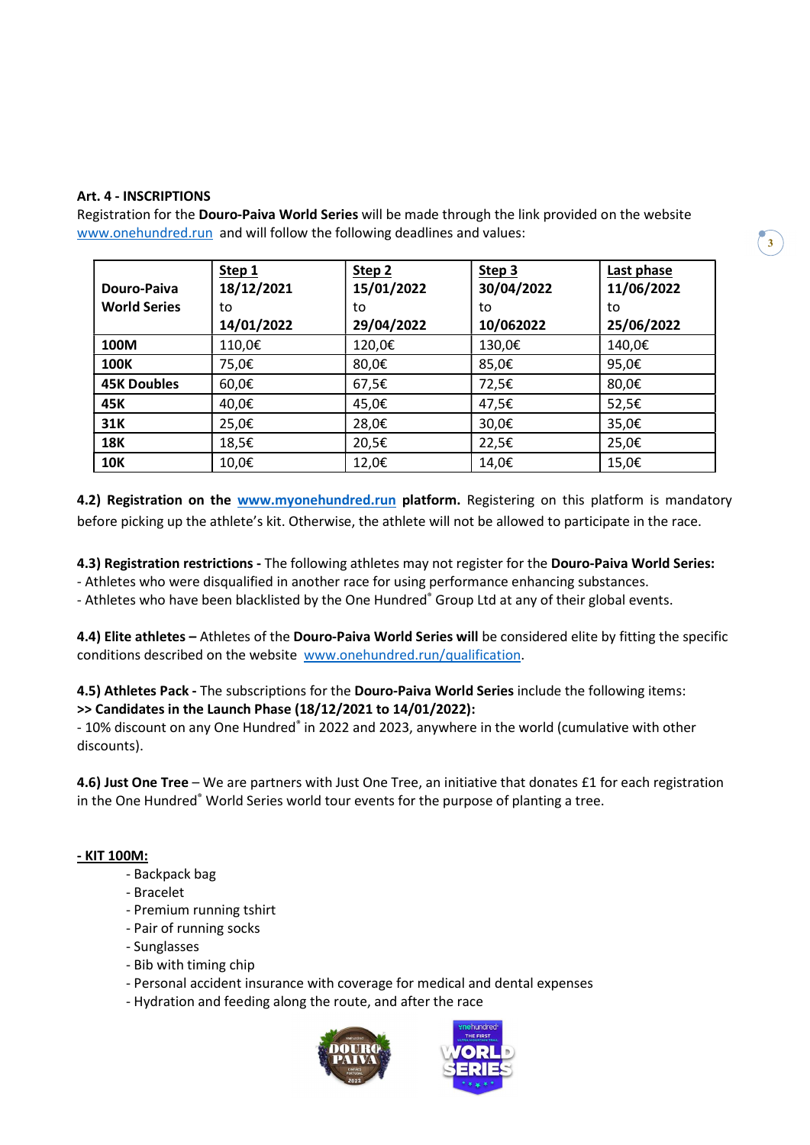### Art. 4 - INSCRIPTIONS

Registration for the Douro-Paiva World Series will be made through the link provided on the website www.onehundred.run and will follow the following deadlines and values:

| Douro-Paiva<br><b>World Series</b> | Step 1<br>18/12/2021<br>to<br>14/01/2022 | Step 2<br>15/01/2022<br>to<br>29/04/2022 | Step <sub>3</sub><br>30/04/2022<br>to<br>10/062022 | Last phase<br>11/06/2022<br>to<br>25/06/2022 |
|------------------------------------|------------------------------------------|------------------------------------------|----------------------------------------------------|----------------------------------------------|
| 100M                               | 110,0€                                   | 120,0€                                   | 130,0€                                             | 140,0€                                       |
| <b>100K</b>                        | 75,0€                                    | 80,0€                                    | 85,0€                                              | 95,0€                                        |
| <b>45K Doubles</b>                 | 60,0€                                    | 67,5€                                    | 72,5€                                              | 80,0€                                        |
| 45K                                | 40,0€                                    | 45,0€                                    | 47,5€                                              | 52,5€                                        |
| 31K                                | 25,0€                                    | 28,0€                                    | 30,0€                                              | 35,0€                                        |
| <b>18K</b>                         | 18,5€                                    | 20,5€                                    | 22,5€                                              | 25,0€                                        |
| <b>10K</b>                         | 10,0€                                    | 12,0€                                    | 14,0€                                              | 15,0€                                        |

4.2) Registration on the www.myonehundred.run platform. Registering on this platform is mandatory before picking up the athlete's kit. Otherwise, the athlete will not be allowed to participate in the race.

4.3) Registration restrictions - The following athletes may not register for the Douro-Paiva World Series:

- Athletes who were disqualified in another race for using performance enhancing substances.

- Athletes who have been blacklisted by the One Hundred® Group Ltd at any of their global events.

4.4) Elite athletes – Athletes of the Douro-Paiva World Series will be considered elite by fitting the specific conditions described on the website www.onehundred.run/qualification.

4.5) Athletes Pack - The subscriptions for the Douro-Paiva World Series include the following items: >> Candidates in the Launch Phase (18/12/2021 to 14/01/2022):

- 10% discount on any One Hundred® in 2022 and 2023, anywhere in the world (cumulative with other discounts).

4.6) Just One Tree – We are partners with Just One Tree, an initiative that donates £1 for each registration in the One Hundred® World Series world tour events for the purpose of planting a tree.

#### - KIT 100M:

- Backpack bag
- Bracelet
- Premium running tshirt
- Pair of running socks
- Sunglasses
- Bib with timing chip
- Personal accident insurance with coverage for medical and dental expenses
- Hydration and feeding along the route, and after the race



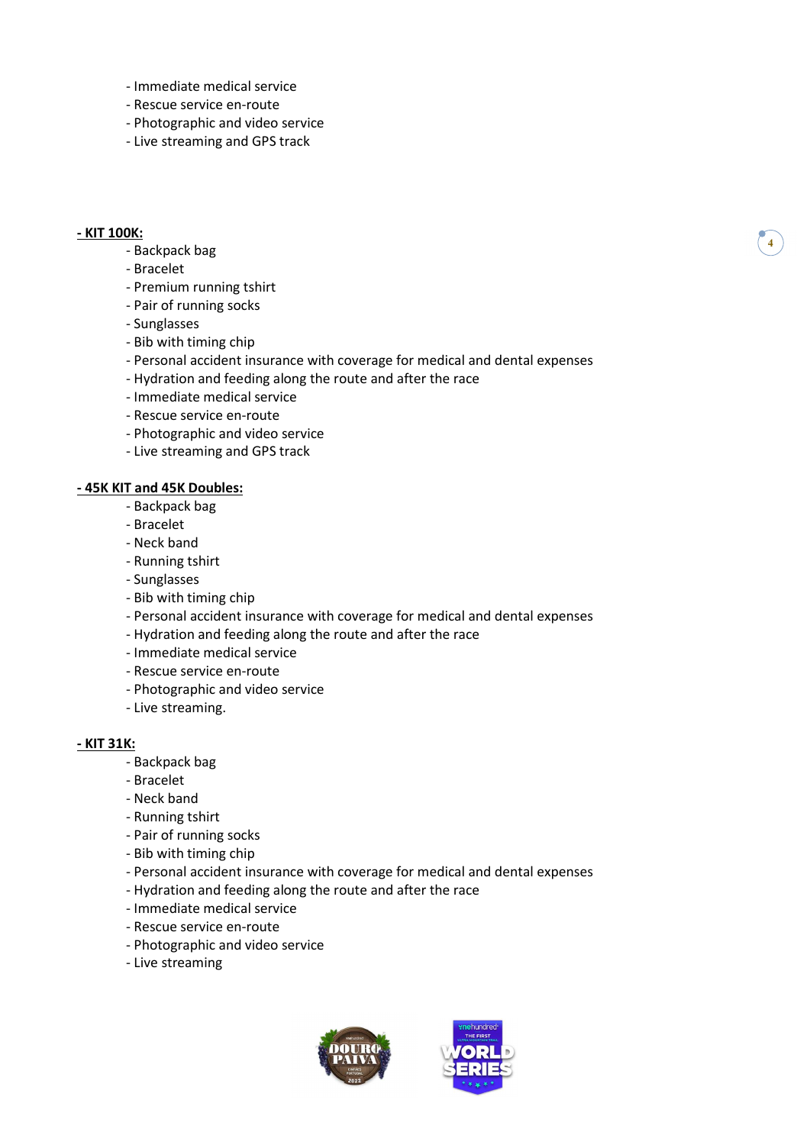- Immediate medical service
- Rescue service en-route
- Photographic and video service
- Live streaming and GPS track

#### - KIT 100K:

#### - Backpack bag

- Bracelet
- Premium running tshirt
- Pair of running socks
- Sunglasses
- Bib with timing chip
- Personal accident insurance with coverage for medical and dental expenses
- Hydration and feeding along the route and after the race
- Immediate medical service
- Rescue service en-route
- Photographic and video service
- Live streaming and GPS track

#### - 45K KIT and 45K Doubles:

- Backpack bag
- Bracelet
- Neck band
- Running tshirt
- Sunglasses
- Bib with timing chip
- Personal accident insurance with coverage for medical and dental expenses
- Hydration and feeding along the route and after the race
- Immediate medical service
- Rescue service en-route
- Photographic and video service
- Live streaming.

#### - KIT 31K:

- Backpack bag
- Bracelet
- Neck band
- Running tshirt
- Pair of running socks
- Bib with timing chip
- Personal accident insurance with coverage for medical and dental expenses
- Hydration and feeding along the route and after the race
- Immediate medical service
- Rescue service en-route
- Photographic and video service
- Live streaming



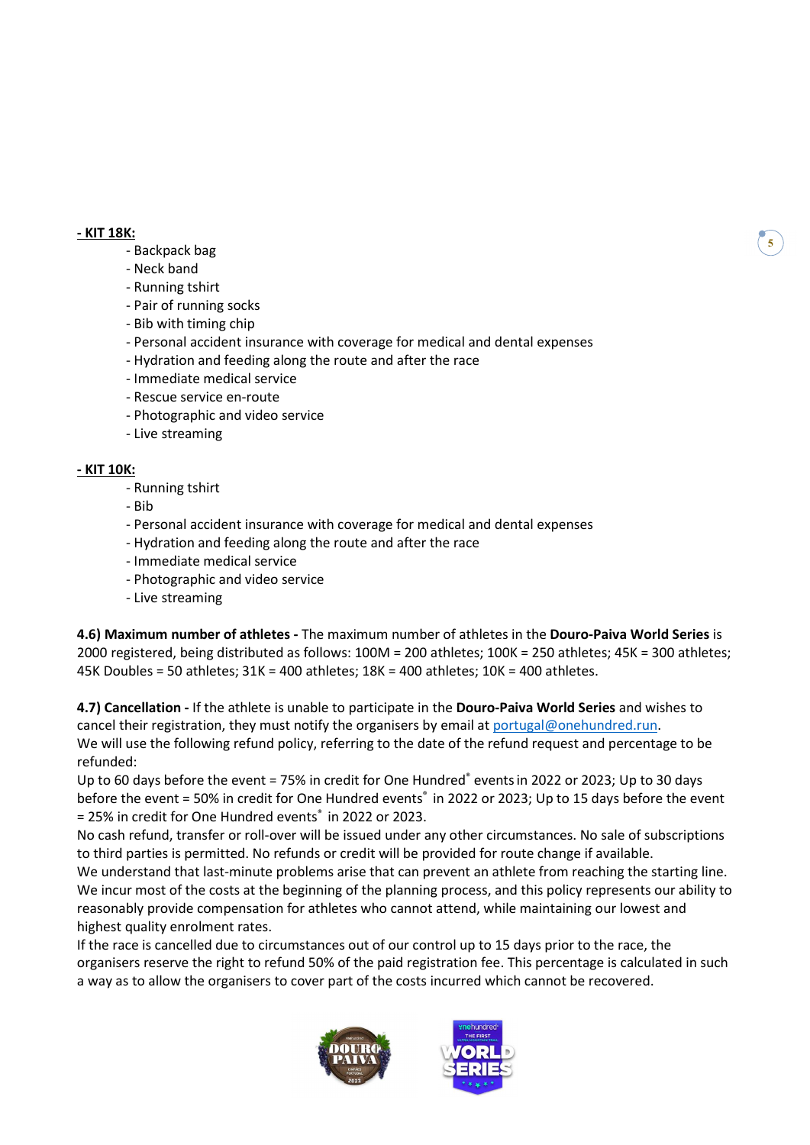#### - KIT 18K:

#### - Backpack bag

- Neck band
- Running tshirt
- Pair of running socks
- Bib with timing chip
- Personal accident insurance with coverage for medical and dental expenses
- Hydration and feeding along the route and after the race
- Immediate medical service
- Rescue service en-route
- Photographic and video service
- Live streaming

#### - KIT 10K:

- Running tshirt
- Bib
- Personal accident insurance with coverage for medical and dental expenses
- Hydration and feeding along the route and after the race
- Immediate medical service
- Photographic and video service
- Live streaming

4.6) Maximum number of athletes - The maximum number of athletes in the Douro-Paiva World Series is 2000 registered, being distributed as follows: 100M = 200 athletes; 100K = 250 athletes; 45K = 300 athletes; 45K Doubles = 50 athletes; 31K = 400 athletes; 18K = 400 athletes; 10K = 400 athletes.

4.7) Cancellation - If the athlete is unable to participate in the Douro-Paiva World Series and wishes to cancel their registration, they must notify the organisers by email at portugal@onehundred.run. We will use the following refund policy, referring to the date of the refund request and percentage to be refunded:

Up to 60 days before the event = 75% in credit for One Hundred® events in 2022 or 2023; Up to 30 days before the event = 50% in credit for One Hundred events<sup>®</sup> in 2022 or 2023; Up to 15 days before the event = 25% in credit for One Hundred events® in 2022 or 2023.

No cash refund, transfer or roll-over will be issued under any other circumstances. No sale of subscriptions to third parties is permitted. No refunds or credit will be provided for route change if available.

We understand that last-minute problems arise that can prevent an athlete from reaching the starting line. We incur most of the costs at the beginning of the planning process, and this policy represents our ability to reasonably provide compensation for athletes who cannot attend, while maintaining our lowest and highest quality enrolment rates.

If the race is cancelled due to circumstances out of our control up to 15 days prior to the race, the organisers reserve the right to refund 50% of the paid registration fee. This percentage is calculated in such a way as to allow the organisers to cover part of the costs incurred which cannot be recovered.



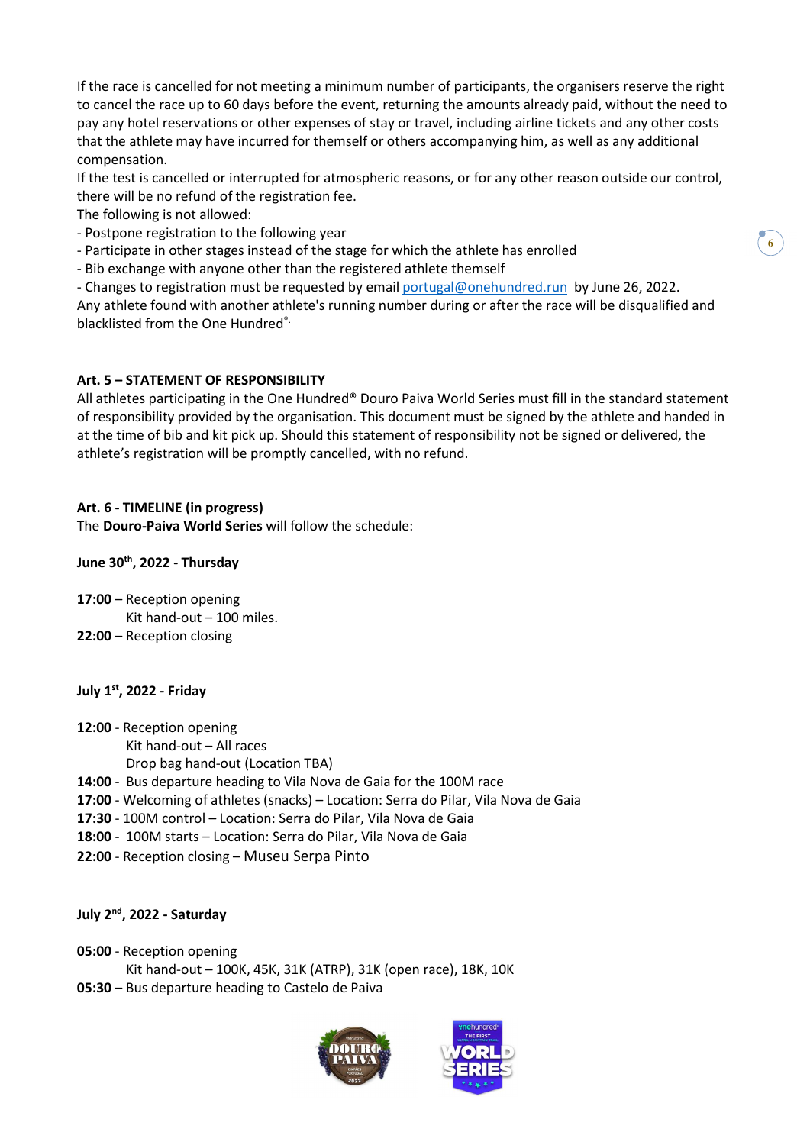If the race is cancelled for not meeting a minimum number of participants, the organisers reserve the right to cancel the race up to 60 days before the event, returning the amounts already paid, without the need to pay any hotel reservations or other expenses of stay or travel, including airline tickets and any other costs that the athlete may have incurred for themself or others accompanying him, as well as any additional compensation.

If the test is cancelled or interrupted for atmospheric reasons, or for any other reason outside our control, there will be no refund of the registration fee.

The following is not allowed:

- Postpone registration to the following year
- Participate in other stages instead of the stage for which the athlete has enrolled
- Bib exchange with anyone other than the registered athlete themself

- Changes to registration must be requested by email portugal@onehundred.run by June 26, 2022. Any athlete found with another athlete's running number during or after the race will be disqualified and blacklisted from the One Hundred®.

# Art. 5 – STATEMENT OF RESPONSIBILITY

All athletes participating in the One Hundred® Douro Paiva World Series must fill in the standard statement of responsibility provided by the organisation. This document must be signed by the athlete and handed in at the time of bib and kit pick up. Should this statement of responsibility not be signed or delivered, the athlete's registration will be promptly cancelled, with no refund.

# Art. 6 - TIMELINE (in progress)

The Douro-Paiva World Series will follow the schedule:

### June 30<sup>th</sup>, 2022 - Thursday

- 17:00 Reception opening Kit hand-out – 100 miles.
- 22:00 Reception closing

### July 1st, 2022 - Friday

- 12:00 Reception opening
	- Kit hand-out All races
	- Drop bag hand-out (Location TBA)
- 14:00 Bus departure heading to Vila Nova de Gaia for the 100M race
- 17:00 Welcoming of athletes (snacks) Location: Serra do Pilar, Vila Nova de Gaia
- 17:30 100M control Location: Serra do Pilar, Vila Nova de Gaia
- 18:00 100M starts Location: Serra do Pilar, Vila Nova de Gaia
- 22:00 Reception closing Museu Serpa Pinto

### July 2<sup>nd</sup>, 2022 - Saturday

#### 05:00 - Reception opening Kit hand-out – 100K, 45K, 31K (ATRP), 31K (open race), 18K, 10K

05:30 – Bus departure heading to Castelo de Paiva



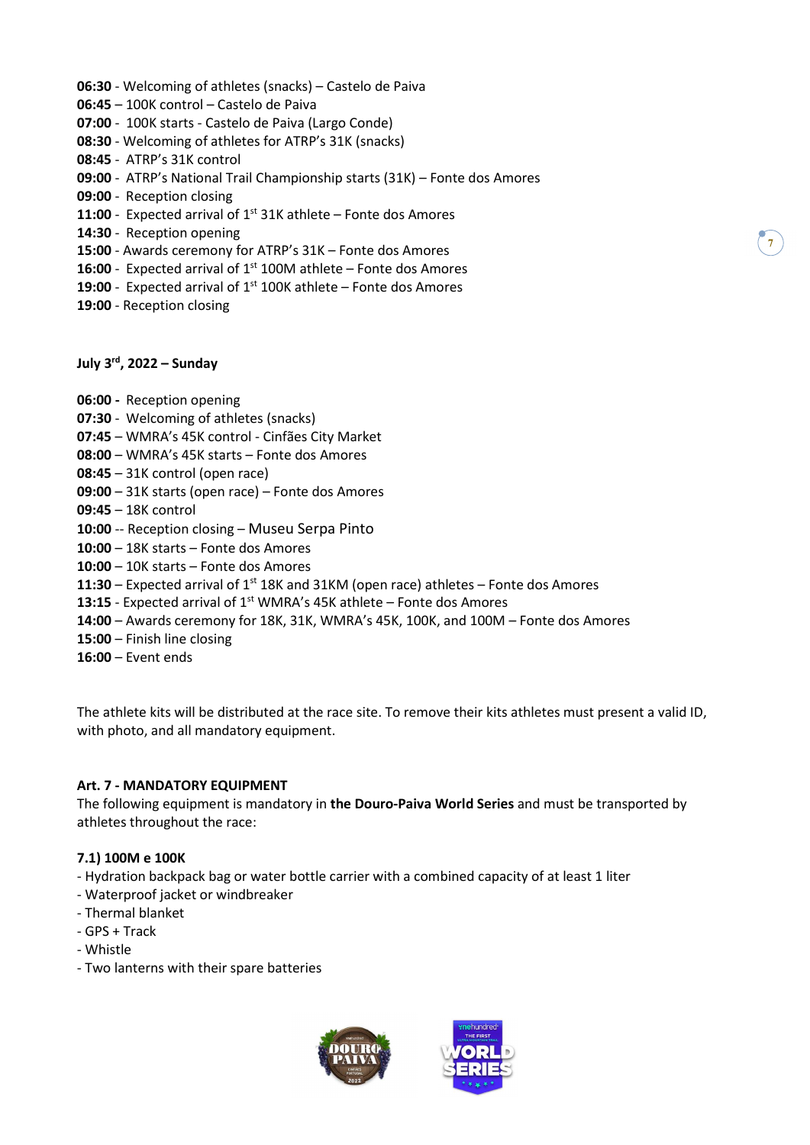- 06:30 Welcoming of athletes (snacks) Castelo de Paiva 06:45 – 100K control – Castelo de Paiva 07:00 - 100K starts - Castelo de Paiva (Largo Conde) 08:30 - Welcoming of athletes for ATRP's 31K (snacks) 08:45 - ATRP's 31K control 09:00 - ATRP's National Trail Championship starts (31K) – Fonte dos Amores 09:00 - Reception closing 11:00 - Expected arrival of  $1^{st}$  31K athlete – Fonte dos Amores
- 14:30 Reception opening
- 15:00 Awards ceremony for ATRP's 31K Fonte dos Amores
- 16:00 Expected arrival of  $1<sup>st</sup>$  100M athlete Fonte dos Amores
- 19:00 Expected arrival of  $1^{st}$  100K athlete Fonte dos Amores
- 19:00 Reception closing

### July  $3^{\text{rd}}$ , 2022 – Sunday

06:00 - Reception opening 07:30 - Welcoming of athletes (snacks)

- 07:45 WMRA's 45K control Cinfães City Market
- 08:00 WMRA's 45K starts Fonte dos Amores
- 08:45 31K control (open race)
- 09:00 31K starts (open race) Fonte dos Amores
- 09:45 18K control
- 10:00 -- Reception closing Museu Serpa Pinto
- 10:00 18K starts Fonte dos Amores
- 10:00 10K starts Fonte dos Amores
- 11:30 Expected arrival of  $1^{st}$  18K and 31KM (open race) athletes Fonte dos Amores
- 13:15 Expected arrival of 1<sup>st</sup> WMRA's 45K athlete Fonte dos Amores
- 14:00 Awards ceremony for 18K, 31K, WMRA's 45K, 100K, and 100M Fonte dos Amores
- 15:00 Finish line closing
- 16:00 Event ends

The athlete kits will be distributed at the race site. To remove their kits athletes must present a valid ID, with photo, and all mandatory equipment.

### Art. 7 - MANDATORY EQUIPMENT

The following equipment is mandatory in the Douro-Paiva World Series and must be transported by athletes throughout the race:

#### 7.1) 100M e 100K

- Hydration backpack bag or water bottle carrier with a combined capacity of at least 1 liter
- Waterproof jacket or windbreaker
- Thermal blanket
- GPS + Track
- Whistle
- Two lanterns with their spare batteries





7)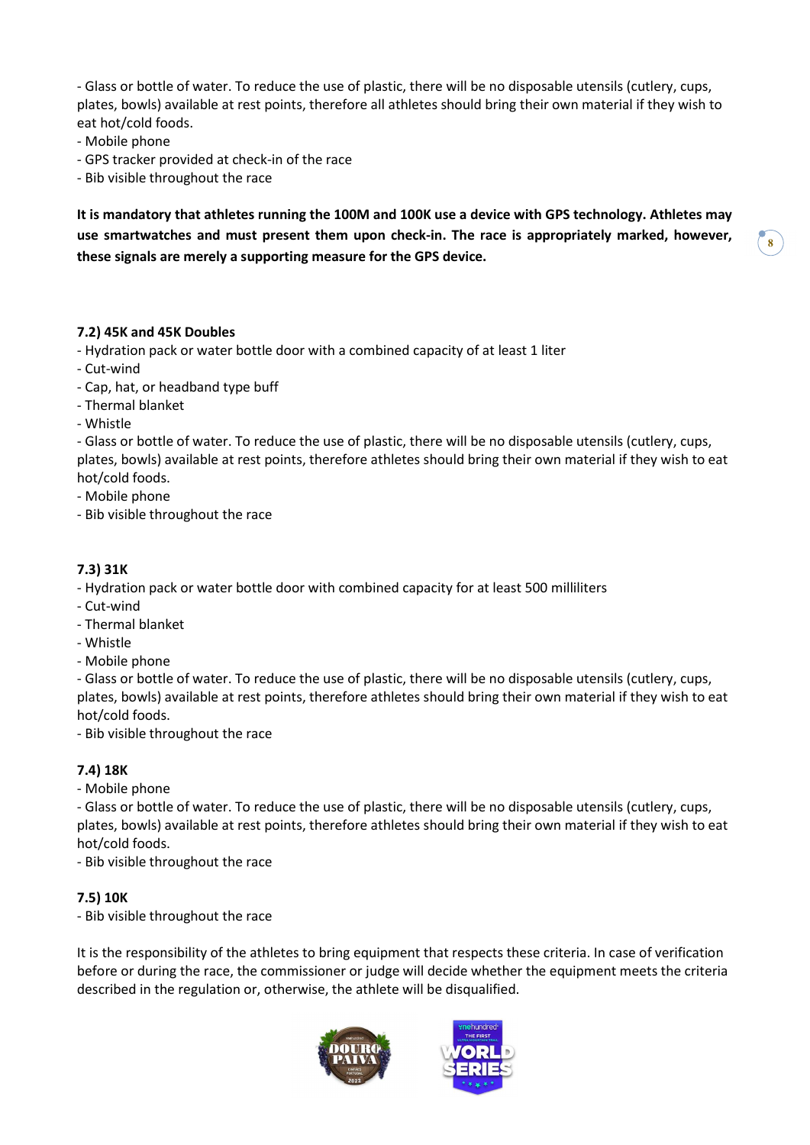- Glass or bottle of water. To reduce the use of plastic, there will be no disposable utensils (cutlery, cups, plates, bowls) available at rest points, therefore all athletes should bring their own material if they wish to eat hot/cold foods.

- Mobile phone

- GPS tracker provided at check-in of the race

- Bib visible throughout the race

It is mandatory that athletes running the 100M and 100K use a device with GPS technology. Athletes may use smartwatches and must present them upon check-in. The race is appropriately marked, however, these signals are merely a supporting measure for the GPS device.

#### 7.2) 45K and 45K Doubles

- Hydration pack or water bottle door with a combined capacity of at least 1 liter

- Cut-wind

- Cap, hat, or headband type buff

- Thermal blanket

- Whistle

- Glass or bottle of water. To reduce the use of plastic, there will be no disposable utensils (cutlery, cups, plates, bowls) available at rest points, therefore athletes should bring their own material if they wish to eat hot/cold foods.

- Mobile phone

- Bib visible throughout the race

#### 7.3) 31K

- Hydration pack or water bottle door with combined capacity for at least 500 milliliters

- Cut-wind
- Thermal blanket
- Whistle
- Mobile phone

- Glass or bottle of water. To reduce the use of plastic, there will be no disposable utensils (cutlery, cups, plates, bowls) available at rest points, therefore athletes should bring their own material if they wish to eat hot/cold foods.

- Bib visible throughout the race

#### 7.4) 18K

- Mobile phone

- Glass or bottle of water. To reduce the use of plastic, there will be no disposable utensils (cutlery, cups, plates, bowls) available at rest points, therefore athletes should bring their own material if they wish to eat hot/cold foods.

- Bib visible throughout the race

#### 7.5) 10K

- Bib visible throughout the race

It is the responsibility of the athletes to bring equipment that respects these criteria. In case of verification before or during the race, the commissioner or judge will decide whether the equipment meets the criteria described in the regulation or, otherwise, the athlete will be disqualified.



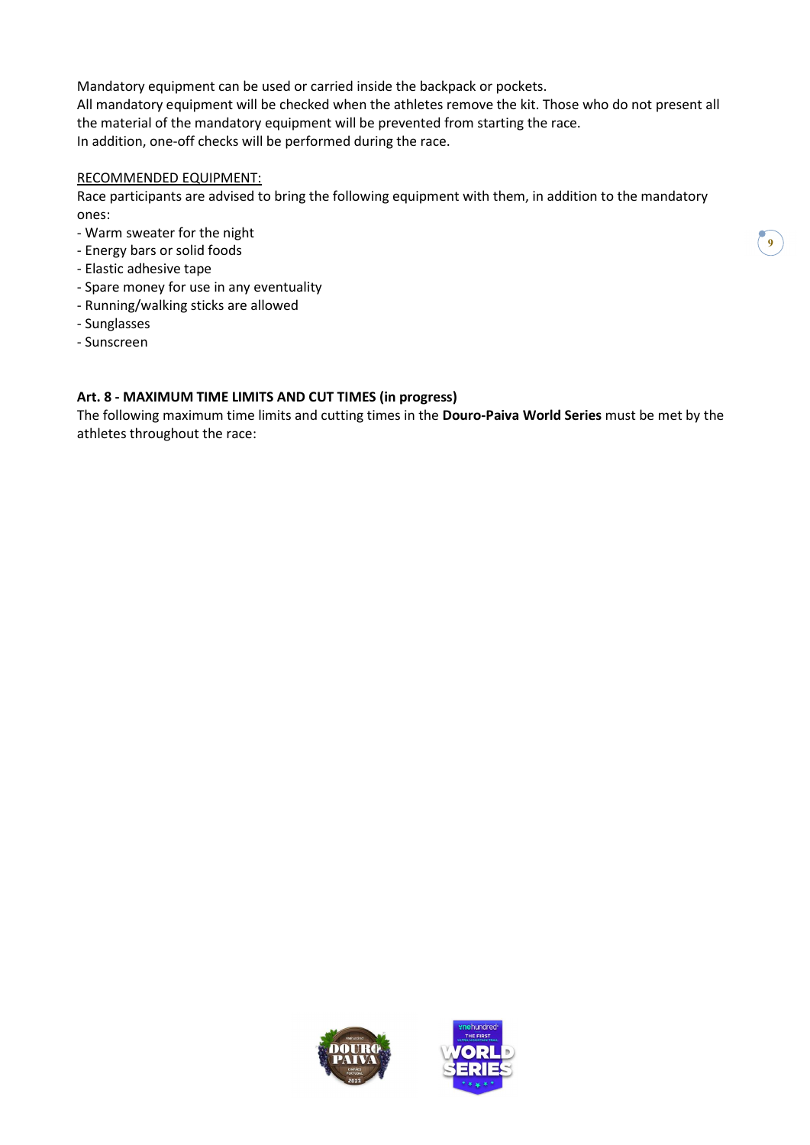Mandatory equipment can be used or carried inside the backpack or pockets. All mandatory equipment will be checked when the athletes remove the kit. Those who do not present all the material of the mandatory equipment will be prevented from starting the race. In addition, one-off checks will be performed during the race.

### RECOMMENDED EQUIPMENT:

Race participants are advised to bring the following equipment with them, in addition to the mandatory ones:

- Warm sweater for the night
- Energy bars or solid foods
- Elastic adhesive tape
- Spare money for use in any eventuality
- Running/walking sticks are allowed
- Sunglasses
- Sunscreen

# Art. 8 - MAXIMUM TIME LIMITS AND CUT TIMES (in progress)

The following maximum time limits and cutting times in the Douro-Paiva World Series must be met by the athletes throughout the race:



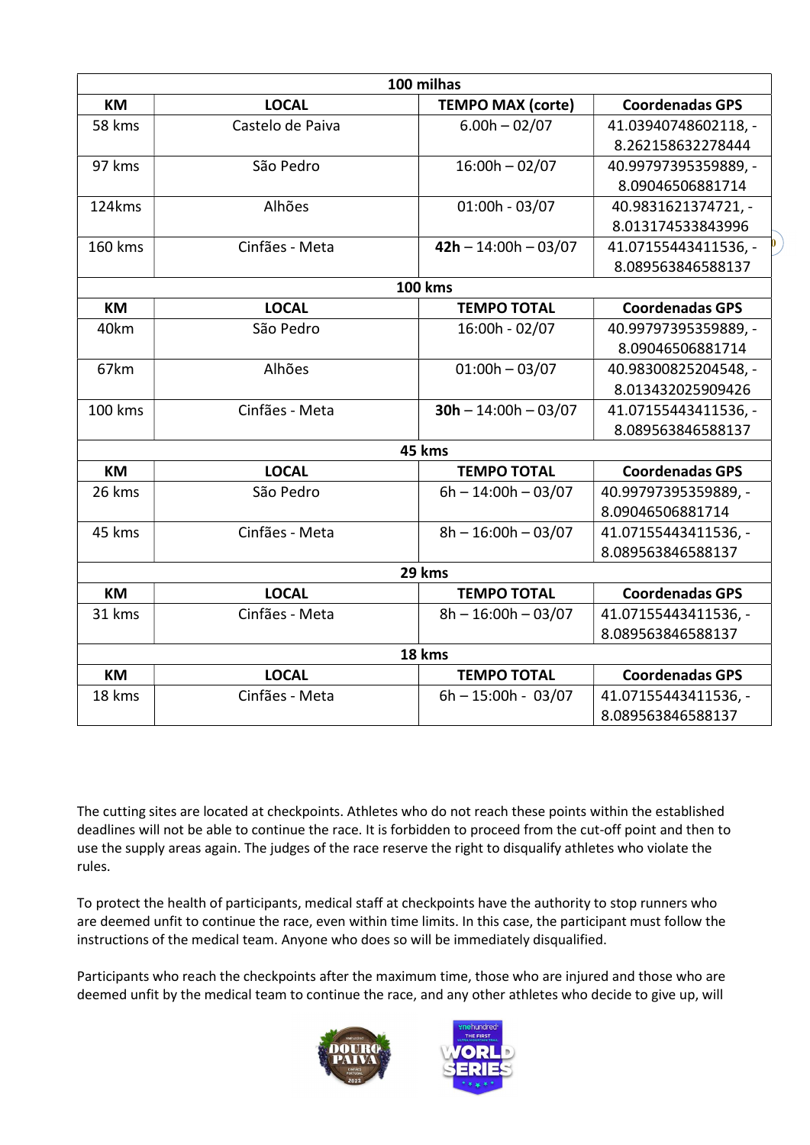|           |                  | 100 milhas               |                        |
|-----------|------------------|--------------------------|------------------------|
| KM        | <b>LOCAL</b>     | <b>TEMPO MAX (corte)</b> | <b>Coordenadas GPS</b> |
| 58 kms    | Castelo de Paiva | $6.00h - 02/07$          | 41.03940748602118, -   |
|           |                  |                          | 8.262158632278444      |
| 97 kms    | São Pedro        | $16:00h - 02/07$         | 40.99797395359889, -   |
|           |                  |                          | 8.09046506881714       |
| 124kms    | Alhões           | $01:00h - 03/07$         | 40.9831621374721, -    |
|           |                  |                          | 8.013174533843996      |
| 160 kms   | Cinfães - Meta   | $42h - 14:00h - 03/07$   | 41.07155443411536, -   |
|           |                  |                          | 8.089563846588137      |
|           |                  | <b>100 kms</b>           |                        |
| <b>KM</b> | <b>LOCAL</b>     | <b>TEMPO TOTAL</b>       | <b>Coordenadas GPS</b> |
| 40km      | São Pedro        | 16:00h - 02/07           | 40.99797395359889, -   |
|           |                  |                          | 8.09046506881714       |
| 67km      | Alhões           | $01:00h - 03/07$         | 40.98300825204548, -   |
|           |                  |                          | 8.013432025909426      |
| 100 kms   | Cinfães - Meta   | $30h - 14:00h - 03/07$   | 41.07155443411536, -   |
|           |                  |                          | 8.089563846588137      |
|           |                  | 45 kms                   |                        |
| <b>KM</b> | <b>LOCAL</b>     | <b>TEMPO TOTAL</b>       | <b>Coordenadas GPS</b> |
| 26 kms    | São Pedro        | $6h - 14:00h - 03/07$    | 40.99797395359889, -   |
|           |                  |                          | 8.09046506881714       |
| 45 kms    | Cinfães - Meta   | $8h - 16:00h - 03/07$    | 41.07155443411536, -   |
|           |                  |                          | 8.089563846588137      |
|           |                  | 29 kms                   |                        |
| <b>KM</b> | <b>LOCAL</b>     | <b>TEMPO TOTAL</b>       | <b>Coordenadas GPS</b> |
| 31 kms    | Cinfães - Meta   | $8h - 16:00h - 03/07$    | 41.07155443411536, -   |
|           |                  |                          | 8.089563846588137      |
|           |                  | 18 kms                   |                        |
| <b>KM</b> | <b>LOCAL</b>     | <b>TEMPO TOTAL</b>       | <b>Coordenadas GPS</b> |
| 18 kms    | Cinfães - Meta   | $6h - 15:00h - 03/07$    | 41.07155443411536, -   |
|           |                  |                          | 8.089563846588137      |
|           |                  |                          |                        |

The cutting sites are located at checkpoints. Athletes who do not reach these points within the established deadlines will not be able to continue the race. It is forbidden to proceed from the cut-off point and then to use the supply areas again. The judges of the race reserve the right to disqualify athletes who violate the rules.

To protect the health of participants, medical staff at checkpoints have the authority to stop runners who are deemed unfit to continue the race, even within time limits. In this case, the participant must follow the instructions of the medical team. Anyone who does so will be immediately disqualified.

Participants who reach the checkpoints after the maximum time, those who are injured and those who are deemed unfit by the medical team to continue the race, and any other athletes who decide to give up, will



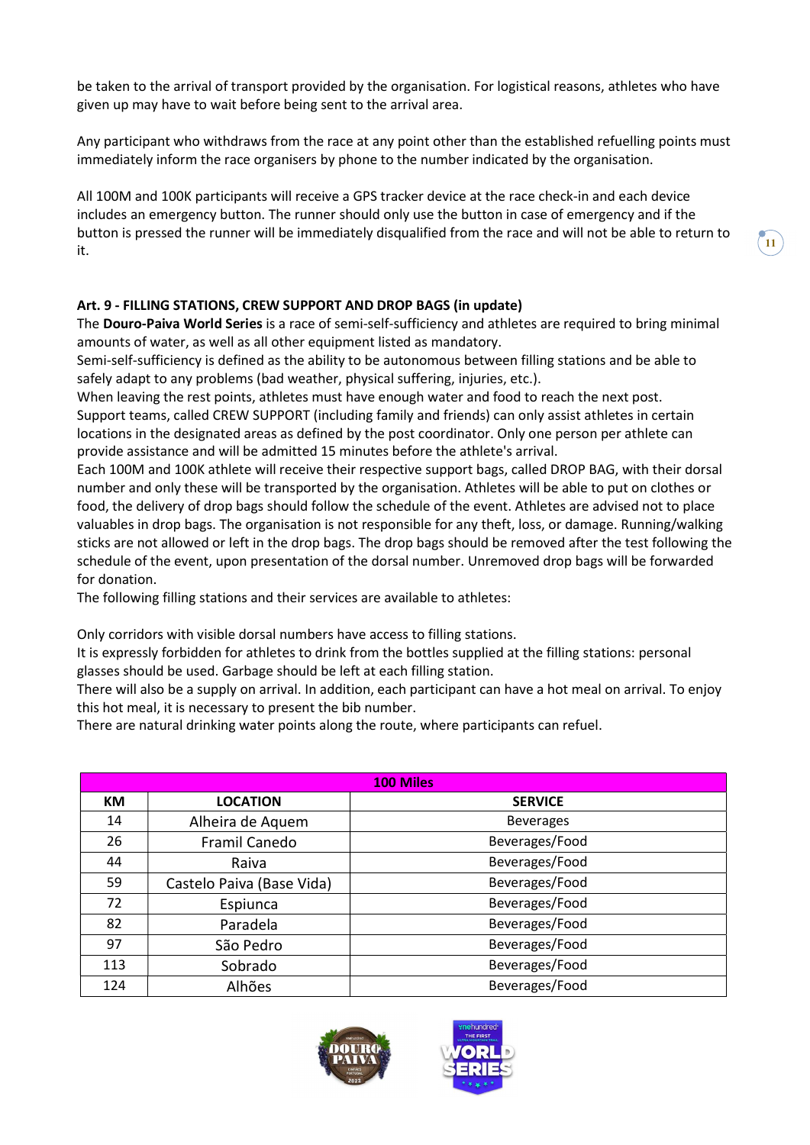be taken to the arrival of transport provided by the organisation. For logistical reasons, athletes who have given up may have to wait before being sent to the arrival area.

Any participant who withdraws from the race at any point other than the established refuelling points must immediately inform the race organisers by phone to the number indicated by the organisation.

All 100M and 100K participants will receive a GPS tracker device at the race check-in and each device includes an emergency button. The runner should only use the button in case of emergency and if the button is pressed the runner will be immediately disqualified from the race and will not be able to return to it.

# Art. 9 - FILLING STATIONS, CREW SUPPORT AND DROP BAGS (in update)

The Douro-Paiva World Series is a race of semi-self-sufficiency and athletes are required to bring minimal amounts of water, as well as all other equipment listed as mandatory.

Semi-self-sufficiency is defined as the ability to be autonomous between filling stations and be able to safely adapt to any problems (bad weather, physical suffering, injuries, etc.).

When leaving the rest points, athletes must have enough water and food to reach the next post. Support teams, called CREW SUPPORT (including family and friends) can only assist athletes in certain locations in the designated areas as defined by the post coordinator. Only one person per athlete can provide assistance and will be admitted 15 minutes before the athlete's arrival.

Each 100M and 100K athlete will receive their respective support bags, called DROP BAG, with their dorsal number and only these will be transported by the organisation. Athletes will be able to put on clothes or food, the delivery of drop bags should follow the schedule of the event. Athletes are advised not to place valuables in drop bags. The organisation is not responsible for any theft, loss, or damage. Running/walking sticks are not allowed or left in the drop bags. The drop bags should be removed after the test following the schedule of the event, upon presentation of the dorsal number. Unremoved drop bags will be forwarded for donation.

The following filling stations and their services are available to athletes:

Only corridors with visible dorsal numbers have access to filling stations.

It is expressly forbidden for athletes to drink from the bottles supplied at the filling stations: personal glasses should be used. Garbage should be left at each filling station.

There will also be a supply on arrival. In addition, each participant can have a hot meal on arrival. To enjoy this hot meal, it is necessary to present the bib number.

There are natural drinking water points along the route, where participants can refuel.

| <b>100 Miles</b> |                           |                  |  |
|------------------|---------------------------|------------------|--|
| КM               | <b>LOCATION</b>           | <b>SERVICE</b>   |  |
| 14               | Alheira de Aquem          | <b>Beverages</b> |  |
| 26               | Framil Canedo             | Beverages/Food   |  |
| 44               | Raiva                     | Beverages/Food   |  |
| 59               | Castelo Paiva (Base Vida) | Beverages/Food   |  |
| 72               | Espiunca                  | Beverages/Food   |  |
| 82               | Paradela                  | Beverages/Food   |  |
| 97               | São Pedro                 | Beverages/Food   |  |
| 113              | Sobrado                   | Beverages/Food   |  |
| 124              | Alhões                    | Beverages/Food   |  |



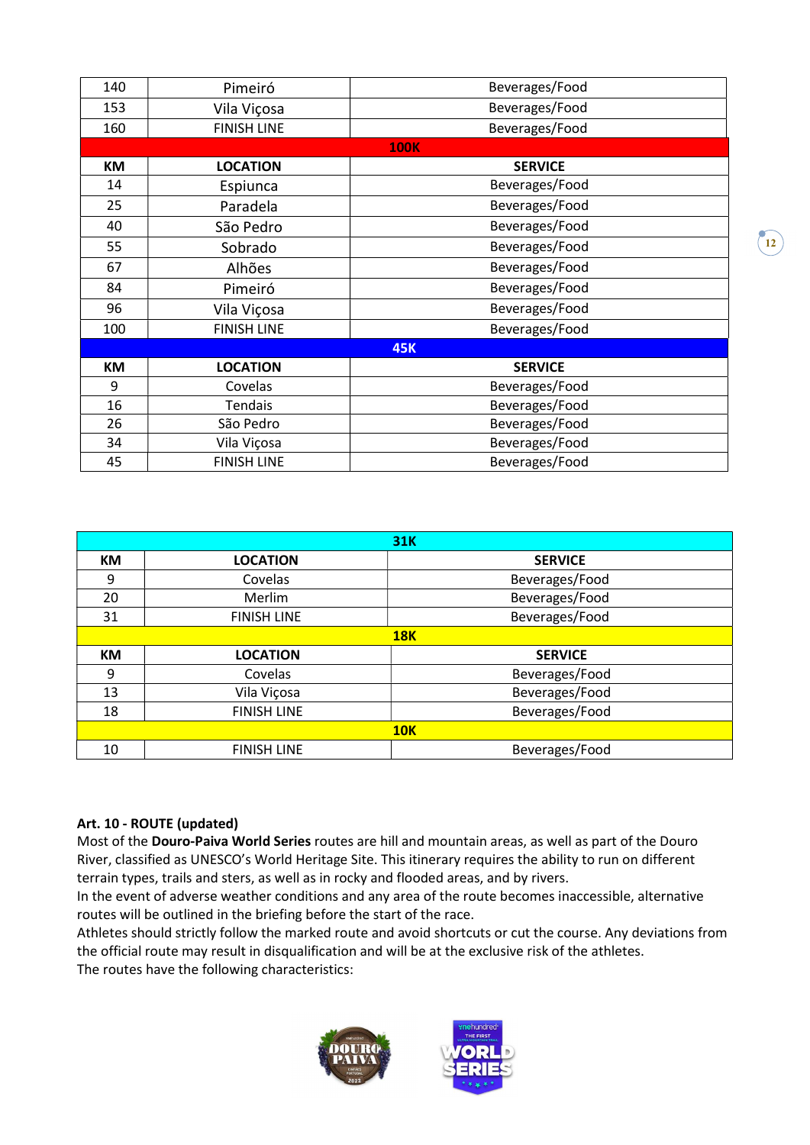| 140 | Pimeiró            | Beverages/Food |  |  |  |
|-----|--------------------|----------------|--|--|--|
| 153 | Vila Viçosa        | Beverages/Food |  |  |  |
| 160 | <b>FINISH LINE</b> | Beverages/Food |  |  |  |
|     |                    | <b>100K</b>    |  |  |  |
| KM  | <b>LOCATION</b>    | <b>SERVICE</b> |  |  |  |
| 14  | Espiunca           | Beverages/Food |  |  |  |
| 25  | Paradela           | Beverages/Food |  |  |  |
| 40  | São Pedro          | Beverages/Food |  |  |  |
| 55  | Sobrado            | Beverages/Food |  |  |  |
| 67  | Alhões             | Beverages/Food |  |  |  |
| 84  | Pimeiró            | Beverages/Food |  |  |  |
| 96  | Vila Viçosa        | Beverages/Food |  |  |  |
| 100 | <b>FINISH LINE</b> | Beverages/Food |  |  |  |
|     | <b>45K</b>         |                |  |  |  |
| KM  | <b>LOCATION</b>    | <b>SERVICE</b> |  |  |  |
| 9   | Covelas            | Beverages/Food |  |  |  |
| 16  | <b>Tendais</b>     | Beverages/Food |  |  |  |
| 26  | São Pedro          | Beverages/Food |  |  |  |
| 34  | Vila Viçosa        | Beverages/Food |  |  |  |
| 45  | <b>FINISH LINE</b> | Beverages/Food |  |  |  |

| <b>31K</b> |                    |                |  |  |
|------------|--------------------|----------------|--|--|
| КM         | <b>LOCATION</b>    | <b>SERVICE</b> |  |  |
| 9          | Covelas            | Beverages/Food |  |  |
| 20         | Merlim             | Beverages/Food |  |  |
| 31         | <b>FINISH LINE</b> | Beverages/Food |  |  |
|            | <b>18K</b>         |                |  |  |
| <b>KM</b>  | <b>LOCATION</b>    | <b>SERVICE</b> |  |  |
| 9          | Covelas            | Beverages/Food |  |  |
| 13         | Vila Viçosa        | Beverages/Food |  |  |
| 18         | <b>FINISH LINE</b> | Beverages/Food |  |  |
|            | <b>10K</b>         |                |  |  |
| 10         | <b>FINISH LINE</b> | Beverages/Food |  |  |

### Art. 10 - ROUTE (updated)

Most of the Douro-Paiva World Series routes are hill and mountain areas, as well as part of the Douro River, classified as UNESCO's World Heritage Site. This itinerary requires the ability to run on different terrain types, trails and sters, as well as in rocky and flooded areas, and by rivers.

In the event of adverse weather conditions and any area of the route becomes inaccessible, alternative routes will be outlined in the briefing before the start of the race.

Athletes should strictly follow the marked route and avoid shortcuts or cut the course. Any deviations from the official route may result in disqualification and will be at the exclusive risk of the athletes. The routes have the following characteristics:

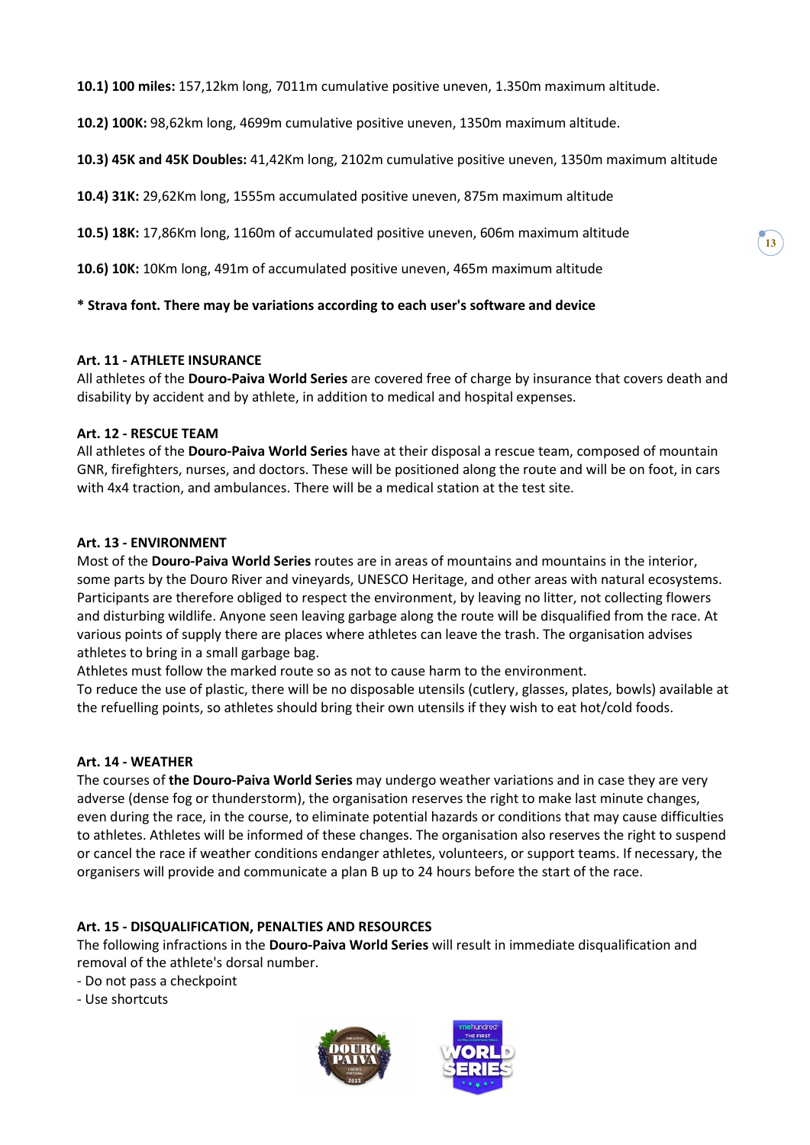10.1) 100 miles: 157,12km long, 7011m cumulative positive uneven, 1.350m maximum altitude.

10.2) 100K: 98,62km long, 4699m cumulative positive uneven, 1350m maximum altitude.

10.3) 45K and 45K Doubles: 41,42Km long, 2102m cumulative positive uneven, 1350m maximum altitude

10.4) 31K: 29,62Km long, 1555m accumulated positive uneven, 875m maximum altitude

10.5) 18K: 17,86Km long, 1160m of accumulated positive uneven, 606m maximum altitude

10.6) 10K: 10Km long, 491m of accumulated positive uneven, 465m maximum altitude

### \* Strava font. There may be variations according to each user's software and device

#### Art. 11 - ATHLETE INSURANCE

All athletes of the Douro-Paiva World Series are covered free of charge by insurance that covers death and disability by accident and by athlete, in addition to medical and hospital expenses.

### Art. 12 - RESCUE TEAM

All athletes of the Douro-Paiva World Series have at their disposal a rescue team, composed of mountain GNR, firefighters, nurses, and doctors. These will be positioned along the route and will be on foot, in cars with 4x4 traction, and ambulances. There will be a medical station at the test site.

### Art. 13 - ENVIRONMENT

Most of the Douro-Paiva World Series routes are in areas of mountains and mountains in the interior, some parts by the Douro River and vineyards, UNESCO Heritage, and other areas with natural ecosystems. Participants are therefore obliged to respect the environment, by leaving no litter, not collecting flowers and disturbing wildlife. Anyone seen leaving garbage along the route will be disqualified from the race. At various points of supply there are places where athletes can leave the trash. The organisation advises athletes to bring in a small garbage bag.

Athletes must follow the marked route so as not to cause harm to the environment.

To reduce the use of plastic, there will be no disposable utensils (cutlery, glasses, plates, bowls) available at the refuelling points, so athletes should bring their own utensils if they wish to eat hot/cold foods.

#### Art. 14 - WEATHER

The courses of the Douro-Paiva World Series may undergo weather variations and in case they are very adverse (dense fog or thunderstorm), the organisation reserves the right to make last minute changes, even during the race, in the course, to eliminate potential hazards or conditions that may cause difficulties to athletes. Athletes will be informed of these changes. The organisation also reserves the right to suspend or cancel the race if weather conditions endanger athletes, volunteers, or support teams. If necessary, the organisers will provide and communicate a plan B up to 24 hours before the start of the race.

### Art. 15 - DISQUALIFICATION, PENALTIES AND RESOURCES

The following infractions in the Douro-Paiva World Series will result in immediate disqualification and removal of the athlete's dorsal number.

- Do not pass a checkpoint
- Use shortcuts



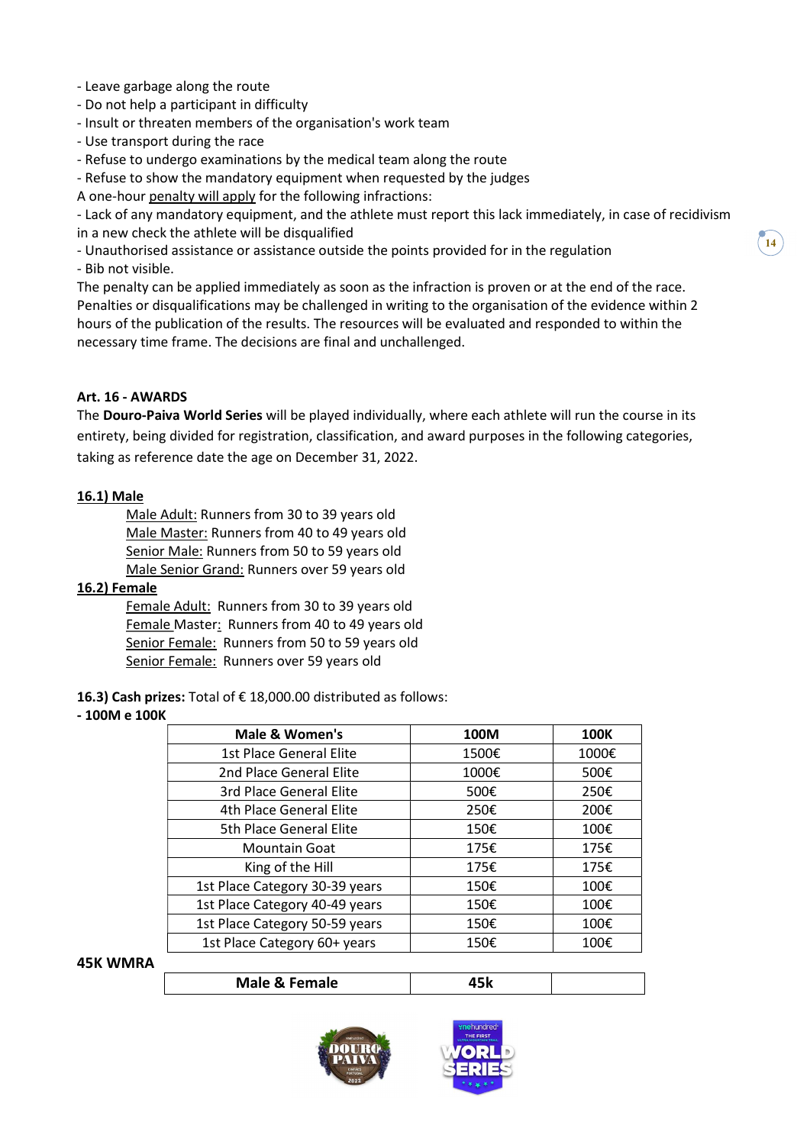- Leave garbage along the route
- Do not help a participant in difficulty
- Insult or threaten members of the organisation's work team
- Use transport during the race
- Refuse to undergo examinations by the medical team along the route
- Refuse to show the mandatory equipment when requested by the judges
- A one-hour penalty will apply for the following infractions:

- Lack of any mandatory equipment, and the athlete must report this lack immediately, in case of recidivism in a new check the athlete will be disqualified

- Unauthorised assistance or assistance outside the points provided for in the regulation - Bib not visible.

The penalty can be applied immediately as soon as the infraction is proven or at the end of the race. Penalties or disqualifications may be challenged in writing to the organisation of the evidence within 2 hours of the publication of the results. The resources will be evaluated and responded to within the necessary time frame. The decisions are final and unchallenged.

### Art. 16 - AWARDS

The Douro-Paiva World Series will be played individually, where each athlete will run the course in its entirety, being divided for registration, classification, and award purposes in the following categories, taking as reference date the age on December 31, 2022.

#### 16.1) Male

Male Adult: Runners from 30 to 39 years old Male Master: Runners from 40 to 49 years old Senior Male: Runners from 50 to 59 years old Male Senior Grand: Runners over 59 years old

#### 16.2) Female

Female Adult: Runners from 30 to 39 years old Female Master: Runners from 40 to 49 years old Senior Female: Runners from 50 to 59 years old Senior Female: Runners over 59 years old

16.3) Cash prizes: Total of € 18,000.00 distributed as follows:

#### - 100M e 100K

| Male & Women's                 | 100M  | <b>100K</b> |
|--------------------------------|-------|-------------|
| 1st Place General Elite        | 1500€ | 1000€       |
| 2nd Place General Elite        | 1000€ | 500€        |
| 3rd Place General Elite        | 500€  | 250€        |
| 4th Place General Elite        | 250€  | 200€        |
| 5th Place General Elite        | 150€  | 100€        |
| <b>Mountain Goat</b>           | 175€  | 175€        |
| King of the Hill               | 175€  | 175€        |
| 1st Place Category 30-39 years | 150€  | 100€        |
| 1st Place Category 40-49 years | 150€  | 100€        |
| 1st Place Category 50-59 years | 150€  | 100€        |
| 1st Place Category 60+ years   | 150€  | 100€        |

#### 45K WMRA



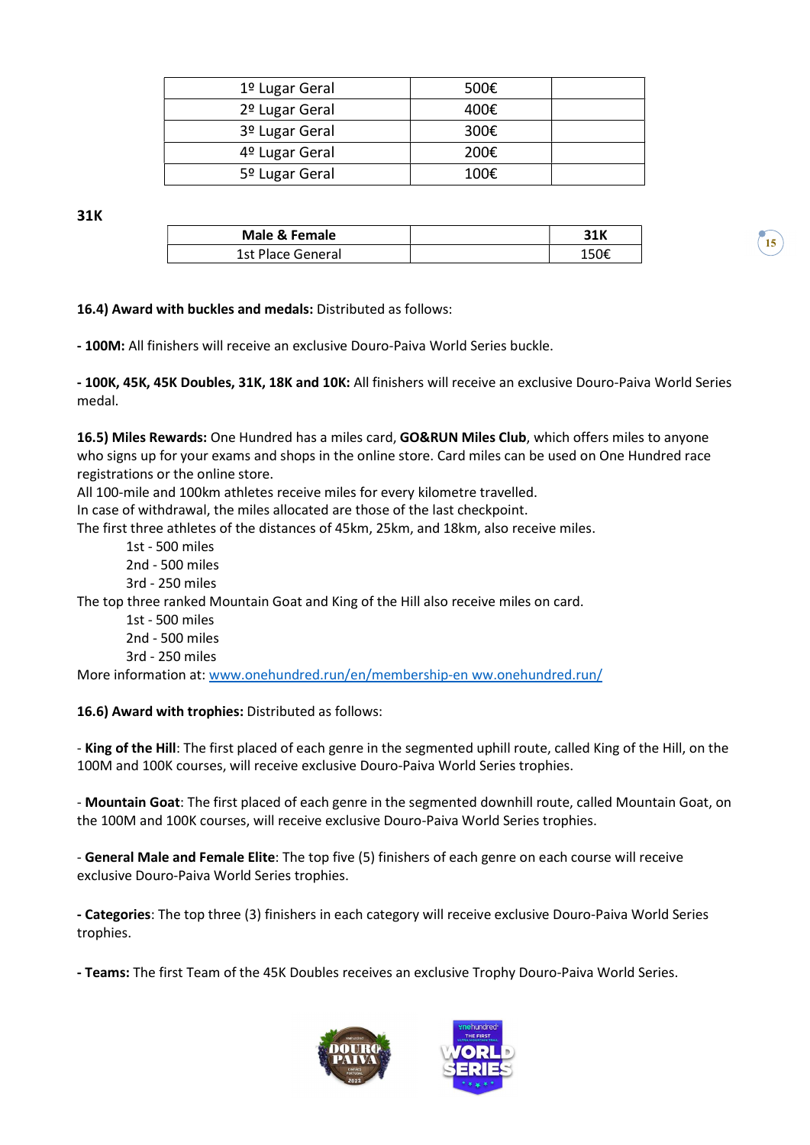| 1º Lugar Geral | 500€ |  |
|----------------|------|--|
| 2º Lugar Geral | 400€ |  |
| 3º Lugar Geral | 300€ |  |
| 4º Lugar Geral | 200€ |  |
| 5º Lugar Geral | 100€ |  |

31K

| Male & Female     | 31K  |
|-------------------|------|
| 1st Place General | 150f |

16.4) Award with buckles and medals: Distributed as follows:

- 100M: All finishers will receive an exclusive Douro-Paiva World Series buckle.

- 100K, 45K, 45K Doubles, 31K, 18K and 10K: All finishers will receive an exclusive Douro-Paiva World Series medal.

16.5) Miles Rewards: One Hundred has a miles card, GO&RUN Miles Club, which offers miles to anyone who signs up for your exams and shops in the online store. Card miles can be used on One Hundred race registrations or the online store.

All 100-mile and 100km athletes receive miles for every kilometre travelled.

In case of withdrawal, the miles allocated are those of the last checkpoint.

The first three athletes of the distances of 45km, 25km, and 18km, also receive miles.

- 1st 500 miles 2nd - 500 miles 3rd - 250 miles The top three ranked Mountain Goat and King of the Hill also receive miles on card.
	- 1st 500 miles
	- 2nd 500 miles
	- 3rd 250 miles

More information at: www.onehundred.run/en/membership-en ww.onehundred.run/

# 16.6) Award with trophies: Distributed as follows:

- King of the Hill: The first placed of each genre in the segmented uphill route, called King of the Hill, on the 100M and 100K courses, will receive exclusive Douro-Paiva World Series trophies.

- Mountain Goat: The first placed of each genre in the segmented downhill route, called Mountain Goat, on the 100M and 100K courses, will receive exclusive Douro-Paiva World Series trophies.

- General Male and Female Elite: The top five (5) finishers of each genre on each course will receive exclusive Douro-Paiva World Series trophies.

- Categories: The top three (3) finishers in each category will receive exclusive Douro-Paiva World Series trophies.

- Teams: The first Team of the 45K Doubles receives an exclusive Trophy Douro-Paiva World Series.



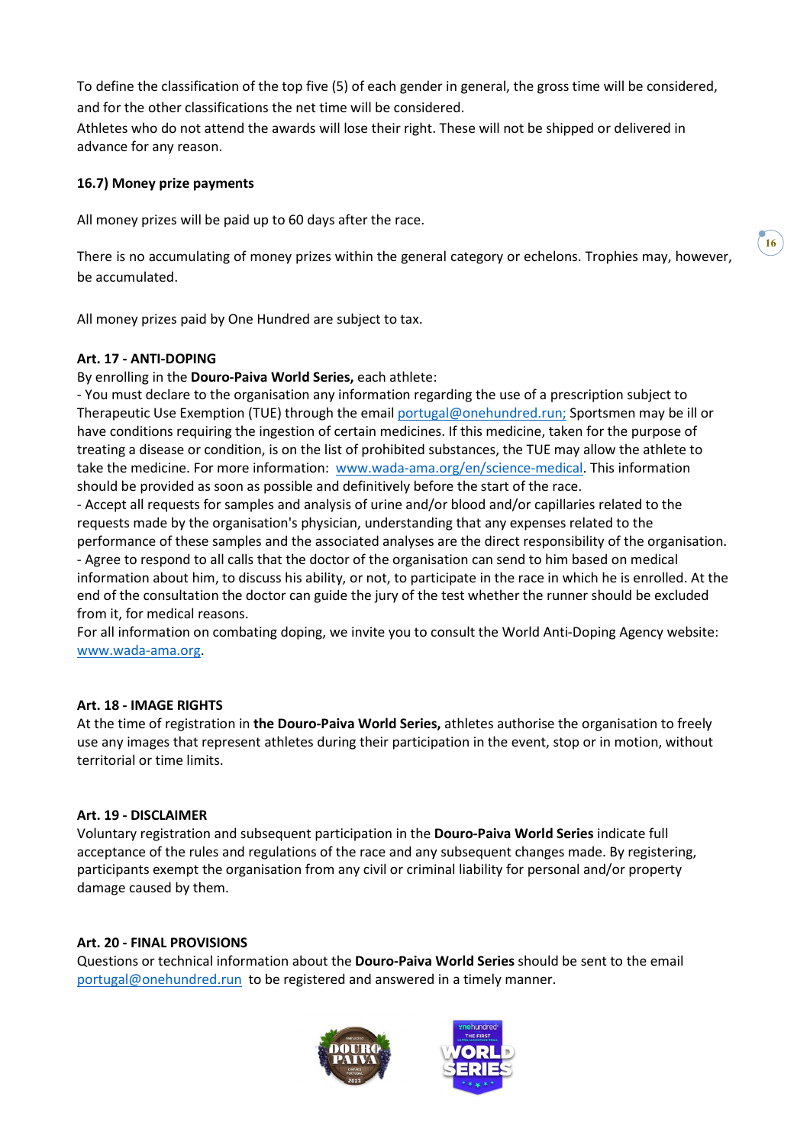To define the classification of the top five (5) of each gender in general, the gross time will be considered, and for the other classifications the net time will be considered.

Athletes who do not attend the awards will lose their right. These will not be shipped or delivered in advance for any reason.

### 16.7) Money prize payments

All money prizes will be paid up to 60 days after the race.

There is no accumulating of money prizes within the general category or echelons. Trophies may, however, be accumulated.

All money prizes paid by One Hundred are subject to tax.

### Art. 17 - ANTI-DOPING

By enrolling in the Douro-Paiva World Series, each athlete:

- You must declare to the organisation any information regarding the use of a prescription subject to Therapeutic Use Exemption (TUE) through the email portugal@onehundred.run; Sportsmen may be ill or have conditions requiring the ingestion of certain medicines. If this medicine, taken for the purpose of treating a disease or condition, is on the list of prohibited substances, the TUE may allow the athlete to take the medicine. For more information: www.wada-ama.org/en/science-medical. This information should be provided as soon as possible and definitively before the start of the race.

- Accept all requests for samples and analysis of urine and/or blood and/or capillaries related to the requests made by the organisation's physician, understanding that any expenses related to the performance of these samples and the associated analyses are the direct responsibility of the organisation.

- Agree to respond to all calls that the doctor of the organisation can send to him based on medical information about him, to discuss his ability, or not, to participate in the race in which he is enrolled. At the end of the consultation the doctor can guide the jury of the test whether the runner should be excluded from it, for medical reasons.

For all information on combating doping, we invite you to consult the World Anti-Doping Agency website: www.wada-ama.org.

#### Art. 18 - IMAGE RIGHTS

At the time of registration in the Douro-Paiva World Series, athletes authorise the organisation to freely use any images that represent athletes during their participation in the event, stop or in motion, without territorial or time limits.

#### Art. 19 - DISCLAIMER

Voluntary registration and subsequent participation in the Douro-Paiva World Series indicate full acceptance of the rules and regulations of the race and any subsequent changes made. By registering, participants exempt the organisation from any civil or criminal liability for personal and/or property damage caused by them.

#### Art. 20 - FINAL PROVISIONS

Questions or technical information about the Douro-Paiva World Series should be sent to the email portugal@onehundred.run to be registered and answered in a timely manner.





 $16)$